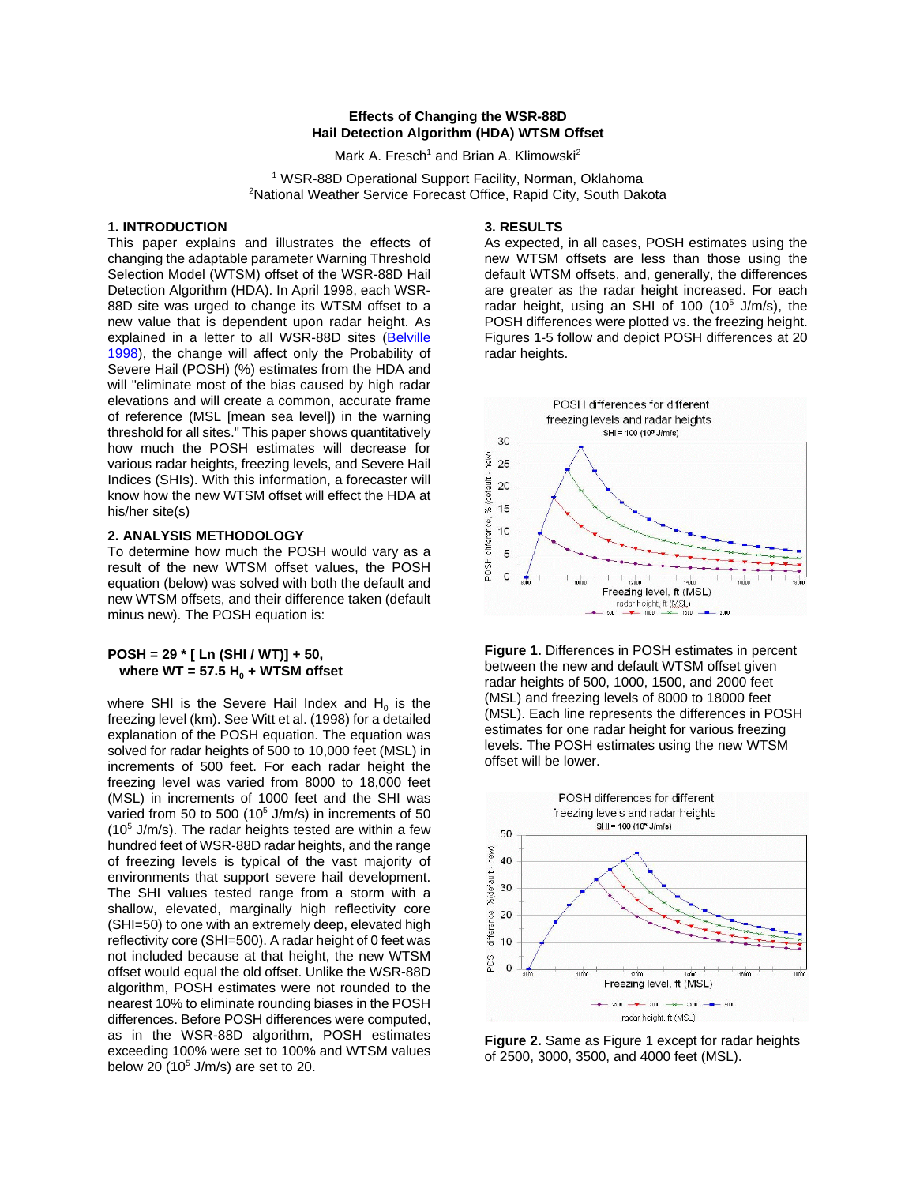### **Effects of Changing the WSR-88D Hail Detection Algorithm (HDA) WTSM Offset**

Mark A. Fresch<sup>1</sup> and Brian A. Klimowski<sup>2</sup>

<sup>1</sup> WSR-88D Operational Support Facility, Norman, Oklahoma <sup>2</sup>National Weather Service Forecast Office, Rapid City, South Dakota

### **1. INTRODUCTION**

This paper explains and illustrates the effects of changing the adaptable parameter Warning Threshold Selection Model (WTSM) offset of the WSR-88D Hail Detection Algorithm (HDA). In April 1998, each WSR-88D site was urged to change its WTSM offset to a new value that is dependent upon radar height. As explained in a letter to all WSR-88D sites [\(Belville](http://www.osf.noaa.gov/ops/9032.htm) [1998\)](http://www.osf.noaa.gov/ops/9032.htm), the change will affect only the Probability of Severe Hail (POSH) (%) estimates from the HDA and will "eliminate most of the bias caused by high radar elevations and will create a common, accurate frame of reference (MSL [mean sea level]) in the warning threshold for all sites." This paper shows quantitatively how much the POSH estimates will decrease for various radar heights, freezing levels, and Severe Hail Indices (SHIs). With this information, a forecaster will know how the new WTSM offset will effect the HDA at his/her site(s)

## **2. ANALYSIS METHODOLOGY**

To determine how much the POSH would vary as a result of the new WTSM offset values, the POSH equation (below) was solved with both the default and new WTSM offsets, and their difference taken (default minus new). The POSH equation is:

#### **POSH = 29 \* [ Ln (SHI / WT)] + 50,**  where  $WT = 57.5 H_0 + WTSM$  offset

where SHI is the Severe Hail Index and  $H_0$  is the freezing level (km). See Witt et al. (1998) for a detailed explanation of the POSH equation. The equation was solved for radar heights of 500 to 10,000 feet (MSL) in increments of 500 feet. For each radar height the freezing level was varied from 8000 to 18,000 feet (MSL) in increments of 1000 feet and the SHI was varied from 50 to 500 (10<sup>5</sup> J/m/s) in increments of 50  $(10<sup>5</sup>$  J/m/s). The radar heights tested are within a few hundred feet of WSR-88D radar heights, and the range of freezing levels is typical of the vast majority of environments that support severe hail development. The SHI values tested range from a storm with a shallow, elevated, marginally high reflectivity core (SHI=50) to one with an extremely deep, elevated high reflectivity core (SHI=500). A radar height of 0 feet was not included because at that height, the new WTSM offset would equal the old offset. Unlike the WSR-88D algorithm, POSH estimates were not rounded to the nearest 10% to eliminate rounding biases in the POSH differences. Before POSH differences were computed, as in the WSR-88D algorithm, POSH estimates exceeding 100% were set to 100% and WTSM values below 20 (10 $5$  J/m/s) are set to 20.

#### **3. RESULTS**

As expected, in all cases, POSH estimates using the new WTSM offsets are less than those using the default WTSM offsets, and, generally, the differences are greater as the radar height increased. For each radar height, using an SHI of 100 (10<sup>5</sup> J/m/s), the POSH differences were plotted vs. the freezing height. Figures 1-5 follow and depict POSH differences at 20 radar heights.



**Figure 1.** Differences in POSH estimates in percent between the new and default WTSM offset given radar heights of 500, 1000, 1500, and 2000 feet (MSL) and freezing levels of 8000 to 18000 feet (MSL). Each line represents the differences in POSH estimates for one radar height for various freezing levels. The POSH estimates using the new WTSM offset will be lower.



**Figure 2.** Same as Figure 1 except for radar heights of 2500, 3000, 3500, and 4000 feet (MSL).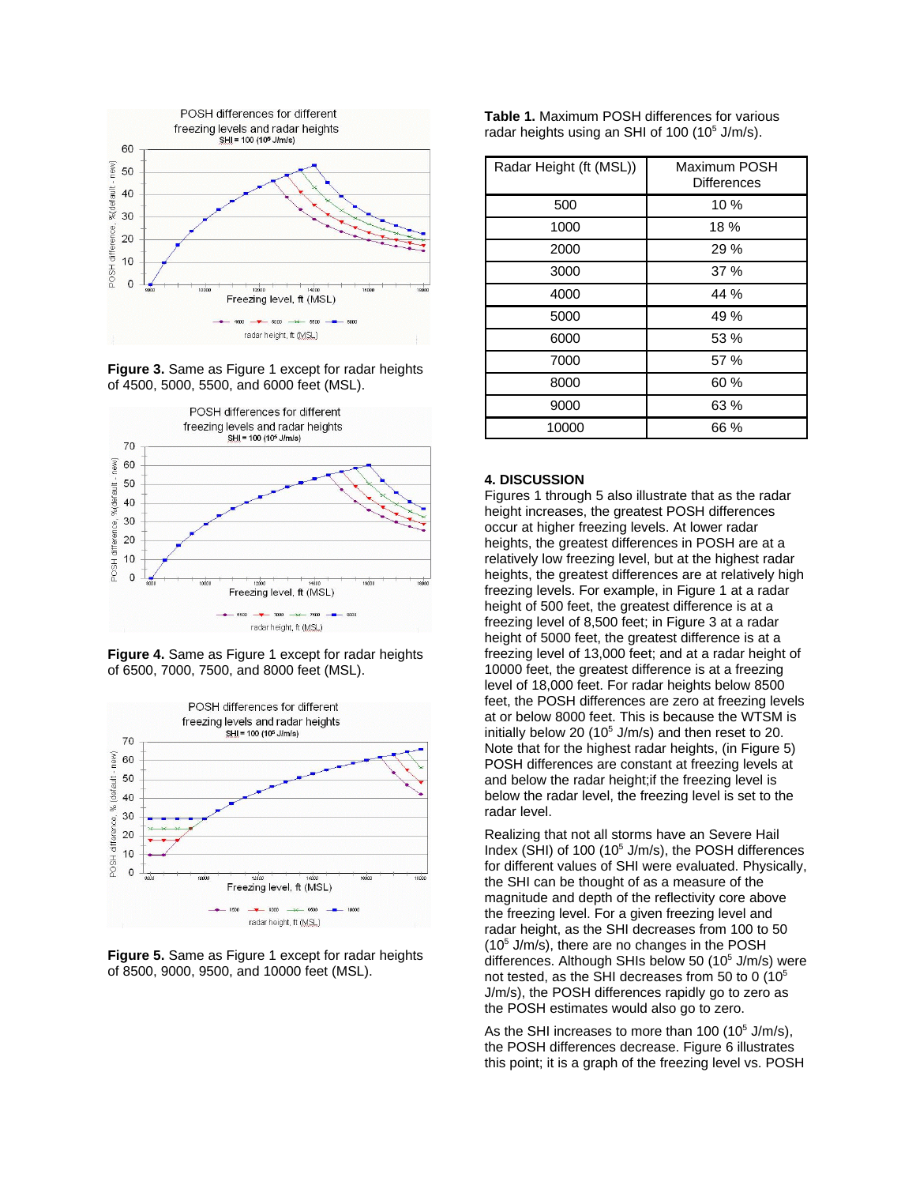

**Figure 3.** Same as Figure 1 except for radar heights of 4500, 5000, 5500, and 6000 feet (MSL).



**Figure 4.** Same as Figure 1 except for radar heights of 6500, 7000, 7500, and 8000 feet (MSL).





**Table 1.** Maximum POSH differences for various radar heights using an SHI of 100 (10<sup>5</sup> J/m/s).

| Radar Height (ft (MSL)) | Maximum POSH<br><b>Differences</b> |
|-------------------------|------------------------------------|
| 500                     | 10 %                               |
| 1000                    | 18 %                               |
| 2000                    | 29 %                               |
| 3000                    | 37%                                |
| 4000                    | 44 %                               |
| 5000                    | 49 %                               |
| 6000                    | 53 %                               |
| 7000                    | 57 %                               |
| 8000                    | 60 %                               |
| 9000                    | 63 %                               |
| 10000                   | 66 %                               |

# **4. DISCUSSION**

Figures 1 through 5 also illustrate that as the radar height increases, the greatest POSH differences occur at higher freezing levels. At lower radar heights, the greatest differences in POSH are at a relatively low freezing level, but at the highest radar heights, the greatest differences are at relatively high freezing levels. For example, in Figure 1 at a radar height of 500 feet, the greatest difference is at a freezing level of 8,500 feet; in Figure 3 at a radar height of 5000 feet, the greatest difference is at a freezing level of 13,000 feet; and at a radar height of 10000 feet, the greatest difference is at a freezing level of 18,000 feet. For radar heights below 8500 feet, the POSH differences are zero at freezing levels at or below 8000 feet. This is because the WTSM is initially below 20 (10 $5$  J/m/s) and then reset to 20. Note that for the highest radar heights, (in Figure 5) POSH differences are constant at freezing levels at and below the radar height;if the freezing level is below the radar level, the freezing level is set to the radar level.

Realizing that not all storms have an Severe Hail Index (SHI) of 100 (10<sup>5</sup> J/m/s), the POSH differences for different values of SHI were evaluated. Physically, the SHI can be thought of as a measure of the magnitude and depth of the reflectivity core above the freezing level. For a given freezing level and radar height, as the SHI decreases from 100 to 50  $(10<sup>5</sup>$  J/m/s), there are no changes in the POSH differences. Although SHIs below 50 (10<sup>5</sup> J/m/s) were not tested, as the SHI decreases from 50 to 0 (10<sup>5</sup> J/m/s), the POSH differences rapidly go to zero as the POSH estimates would also go to zero.

As the SHI increases to more than  $100 (10<sup>5</sup> J/m/s)$ , the POSH differences decrease. Figure 6 illustrates this point; it is a graph of the freezing level vs. POSH